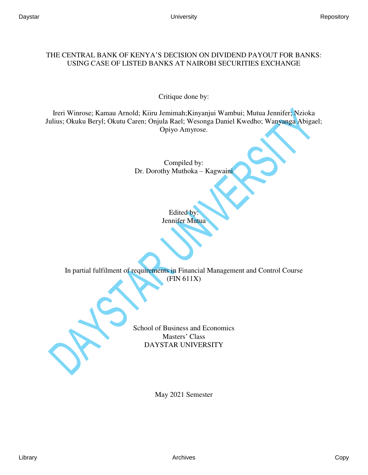# THE CENTRAL BANK OF KENYA'S DECISION ON DIVIDEND PAYOUT FOR BANKS: USING CASE OF LISTED BANKS AT NAIROBI SECURITIES EXCHANGE

Critique done by:

Ireri Winrose; Kamau Arnold; Kiiru Jemimah;Kinyanjui Wambui; Mutua Jennifer; Nzioka Julius; Okuku Beryl; Okutu Caren; Onjula Rael; Wesonga Daniel Kwedho; Wanyanga Abigael; Opiyo Amyrose.

> Compiled by: Dr. Dorothy Muthoka – Kagwaini

> > Edited by: Jennifer Mutua

In partial fulfilment of requirements in Financial Management and Control Course (FIN 611X)

> School of Business and Economics Masters' Class DAYSTAR UNIVERSITY

> > May 2021 Semester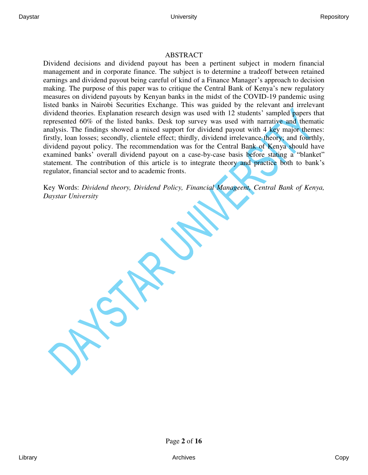# ABSTRACT

Dividend decisions and dividend payout has been a pertinent subject in modern financial management and in corporate finance. The subject is to determine a tradeoff between retained earnings and dividend payout being careful of kind of a Finance Manager's approach to decision making. The purpose of this paper was to critique the Central Bank of Kenya's new regulatory measures on dividend payouts by Kenyan banks in the midst of the COVID-19 pandemic using listed banks in Nairobi Securities Exchange. This was guided by the relevant and irrelevant dividend theories. Explanation research design was used with 12 students' sampled papers that represented 60% of the listed banks. Desk top survey was used with narrative and thematic analysis. The findings showed a mixed support for dividend payout with 4 key major themes: firstly, loan losses; secondly, clientele effect; thirdly, dividend irrelevance theory; and fourthly, dividend payout policy. The recommendation was for the Central Bank of Kenya should have examined banks' overall dividend payout on a case-by-case basis before stating a "blanket" statement. The contribution of this article is to integrate theory and practice both to bank's regulator, financial sector and to academic fronts.

Key Words: *Dividend theory, Dividend Policy, Financial Manageent, Central Bank of Kenya, Daystar University* 

Page **2** of **16**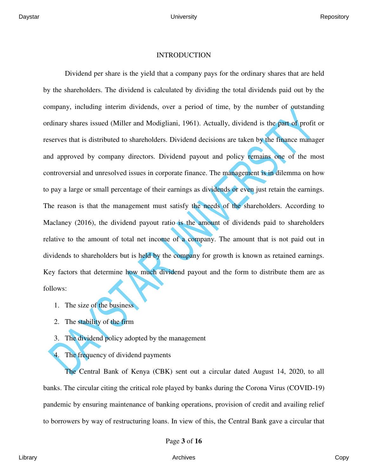### INTRODUCTION

Dividend per share is the yield that a company pays for the ordinary shares that are held by the shareholders. The dividend is calculated by dividing the total dividends paid out by the company, including interim dividends, over a period of time, by the number of outstanding ordinary shares issued (Miller and Modigliani, 1961). Actually, dividend is the part of profit or reserves that is distributed to shareholders. Dividend decisions are taken by the finance manager and approved by company directors. Dividend payout and policy remains one of the most controversial and unresolved issues in corporate finance. The management is in dilemma on how to pay a large or small percentage of their earnings as dividends or even just retain the earnings. The reason is that the management must satisfy the needs of the shareholders. According to Maclaney (2016), the dividend payout ratio is the amount of dividends paid to shareholders relative to the amount of total net income of a company. The amount that is not paid out in dividends to shareholders but is held by the company for growth is known as retained earnings. Key factors that determine how much dividend payout and the form to distribute them are as follows:

- 1. The size of the business
- 2. The stability of the firm
- 3. The dividend policy adopted by the management
- The frequency of dividend payments

The Central Bank of Kenya (CBK) sent out a circular dated August 14, 2020, to all banks. The circular citing the critical role played by banks during the Corona Virus (COVID-19) pandemic by ensuring maintenance of banking operations, provision of credit and availing relief to borrowers by way of restructuring loans. In view of this, the Central Bank gave a circular that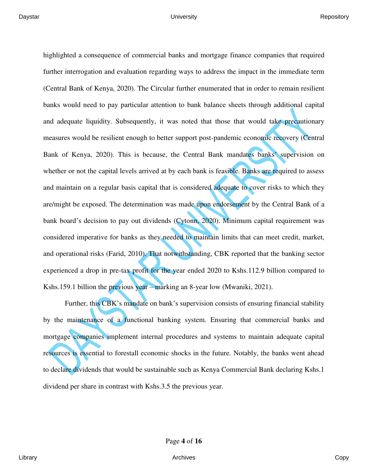highlighted a consequence of commercial banks and mortgage finance companies that required further interrogation and evaluation regarding ways to address the impact in the immediate term (Central Bank of Kenya, 2020). The Circular further enumerated that in order to remain resilient banks would need to pay particular attention to bank balance sheets through additional capital and adequate liquidity. Subsequently, it was noted that those that would take precautionary measures would be resilient enough to better support post-pandemic economic recovery (Central Bank of Kenya, 2020). This is because, the Central Bank mandates banks' supervision on whether or not the capital levels arrived at by each bank is feasible. Banks are required to assess and maintain on a regular basis capital that is considered adequate to cover risks to which they are/might be exposed. The determination was made upon endorsement by the Central Bank of a bank board's decision to pay out dividends (Cytonn, 2020). Minimum capital requirement was considered imperative for banks as they needed to maintain limits that can meet credit, market, and operational risks (Farid, 2010). That notwithstanding, CBK reported that the banking sector experienced a drop in pre-tax profit for the year ended 2020 to Kshs.112.9 billion compared to Kshs.159.1 billion the previous year – marking an 8-year low (Mwaniki, 2021).

Further, this CBK's mandate on bank's supervision consists of ensuring financial stability by the maintenance of a functional banking system. Ensuring that commercial banks and mortgage companies implement internal procedures and systems to maintain adequate capital resources is essential to forestall economic shocks in the future. Notably, the banks went ahead to declare dividends that would be sustainable such as Kenya Commercial Bank declaring Kshs.1 dividend per share in contrast with Kshs.3.5 the previous year.

Page **4** of **16**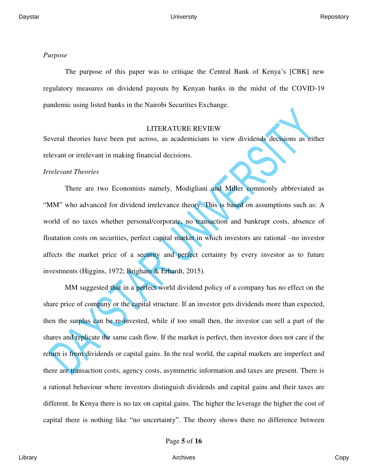#### *Purpose*

The purpose of this paper was to critique the Central Bank of Kenya's [CBK] new regulatory measures on dividend payouts by Kenyan banks in the midst of the COVID-19 pandemic using listed banks in the Nairobi Securities Exchange.

### LITERATURE REVIEW

Several theories have been put across, as academicians to view dividends decisions as either relevant or irrelevant in making financial decisions.

#### *Irrelevant Theories*

There are two Economists namely, Modigliani and Miller commonly abbreviated as "MM" who advanced for dividend irrelevance theory. This is based on assumptions such as: A world of no taxes whether personal/corporate, no transaction and bankrupt costs, absence of floatation costs on securities, perfect capital market in which investors are rational –no investor affects the market price of a security and perfect certainty by every investor as to future investments (Higgins, 1972; Brigham & Erhardt, 2015).

MM suggested that in a perfect world dividend policy of a company has no effect on the share price of company or the capital structure. If an investor gets dividends more than expected, then the surplus can be re-invested, while if too small then, the investor can sell a part of the shares and replicate the same cash flow. If the market is perfect, then investor does not care if the return is from dividends or capital gains. In the real world, the capital markets are imperfect and there are transaction costs, agency costs, asymmetric information and taxes are present. There is a rational behaviour where investors distinguish dividends and capital gains and their taxes are different. In Kenya there is no tax on capital gains. The higher the leverage the higher the cost of capital there is nothing like "no uncertainty". The theory shows there no difference between

Page **5** of **16**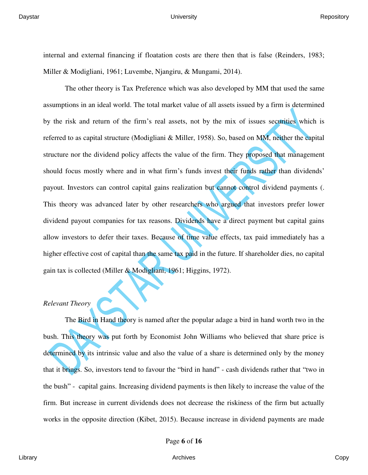internal and external financing if floatation costs are there then that is false (Reinders, 1983; Miller & Modigliani, 1961; Luvembe, Njangiru, & Mungami, 2014).

The other theory is Tax Preference which was also developed by MM that used the same assumptions in an ideal world. The total market value of all assets issued by a firm is determined by the risk and return of the firm's real assets, not by the mix of issues securities which is referred to as capital structure (Modigliani & Miller, 1958). So, based on MM, neither the capital structure nor the dividend policy affects the value of the firm. They proposed that management should focus mostly where and in what firm's funds invest their funds rather than dividends' payout. Investors can control capital gains realization but cannot control dividend payments (. This theory was advanced later by other researchers who argued that investors prefer lower dividend payout companies for tax reasons. Dividends have a direct payment but capital gains allow investors to defer their taxes. Because of time value effects, tax paid immediately has a higher effective cost of capital than the same tax paid in the future. If shareholder dies, no capital gain tax is collected (Miller & Modigliani, 1961; Higgins, 1972).

### *Relevant Theory*

The Bird in Hand theory is named after the popular adage a bird in hand worth two in the bush. This theory was put forth by Economist John Williams who believed that share price is determined by its intrinsic value and also the value of a share is determined only by the money that it brings. So, investors tend to favour the "bird in hand" - cash dividends rather that "two in the bush" - capital gains. Increasing dividend payments is then likely to increase the value of the firm. But increase in current dividends does not decrease the riskiness of the firm but actually works in the opposite direction (Kibet, 2015). Because increase in dividend payments are made

Page **6** of **16**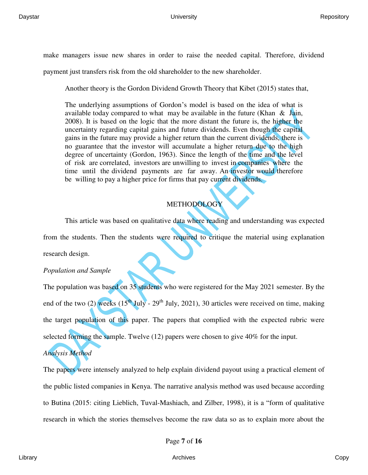make managers issue new shares in order to raise the needed capital. Therefore, dividend

payment just transfers risk from the old shareholder to the new shareholder.

Another theory is the Gordon Dividend Growth Theory that Kibet (2015) states that,

The underlying assumptions of Gordon's model is based on the idea of what is available today compared to what may be available in the future (Khan  $\&$  Jain, 2008). It is based on the logic that the more distant the future is, the higher the uncertainty regarding capital gains and future dividends. Even though the capital gains in the future may provide a higher return than the current dividends, there is no guarantee that the investor will accumulate a higher return due to the high degree of uncertainty (Gordon, 1963). Since the length of the time and the level of risk are correlated, investors are unwilling to invest in companies where the time until the dividend payments are far away. An investor would therefore be willing to pay a higher price for firms that pay current dividends.

# **METHODOLOGY**

This article was based on qualitative data where reading and understanding was expected from the students. Then the students were required to critique the material using explanation research design.

## *Population and Sample*

The population was based on 35 students who were registered for the May 2021 semester. By the end of the two (2) weeks  $(15<sup>th</sup>$  July - 29<sup>th</sup> July, 2021), 30 articles were received on time, making the target population of this paper. The papers that complied with the expected rubric were selected forming the sample. Twelve (12) papers were chosen to give 40% for the input.

# *Analysis Method*

The papers were intensely analyzed to help explain dividend payout using a practical element of the public listed companies in Kenya. The narrative analysis method was used because according to Butina (2015: citing Lieblich, Tuval-Mashiach, and Zilber, 1998), it is a "form of qualitative research in which the stories themselves become the raw data so as to explain more about the

Page **7** of **16**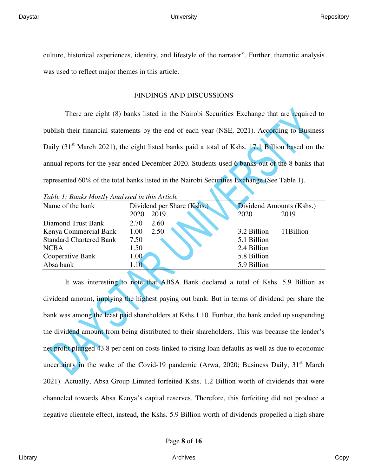culture, historical experiences, identity, and lifestyle of the narrator". Further, thematic analysis was used to reflect major themes in this article.

# FINDINGS AND DISCUSSIONS

There are eight (8) banks listed in the Nairobi Securities Exchange that are required to publish their financial statements by the end of each year (NSE, 2021). According to Business Daily (31<sup>st</sup> March 2021), the eight listed banks paid a total of Kshs. 17.1 Billion based on the annual reports for the year ended December 2020. Students used 6 banks out of the 8 banks that represented 60% of the total banks listed in the Nairobi Securities Exchange (See Table 1).

*Table 1: Banks Mostly Analysed in this Article* 

| Name of the bank               | Dividend per Share (Kshs.)<br>2019<br>2020 | Dividend Amounts (Kshs.)<br>2019<br>2020 |
|--------------------------------|--------------------------------------------|------------------------------------------|
| Diamond Trust Bank             | 2.60<br>2.70                               |                                          |
| Kenya Commercial Bank          | 1.00<br>2.50                               | 3.2 Billion<br>11Billion                 |
| <b>Standard Chartered Bank</b> | 7.50                                       | 5.1 Billion                              |
| <b>NCBA</b>                    | 1.50                                       | 2.4 Billion                              |
| Cooperative Bank               | 1.00                                       | 5.8 Billion                              |
| Absa bank                      | 1.10                                       | 5.9 Billion                              |
|                                |                                            |                                          |

It was interesting to note that ABSA Bank declared a total of Kshs. 5.9 Billion as dividend amount, implying the highest paying out bank. But in terms of dividend per share the bank was among the least paid shareholders at Kshs.1.10. Further, the bank ended up suspending the dividend amount from being distributed to their shareholders. This was because the lender's net profit plunged 43.8 per cent on costs linked to rising loan defaults as well as due to economic uncertainty in the wake of the Covid-19 pandemic (Arwa, 2020; Business Daily,  $31<sup>st</sup>$  March 2021). Actually, Absa Group Limited forfeited Kshs. 1.2 Billion worth of dividends that were channeled towards Absa Kenya's capital reserves. Therefore, this forfeiting did not produce a negative clientele effect, instead, the Kshs. 5.9 Billion worth of dividends propelled a high share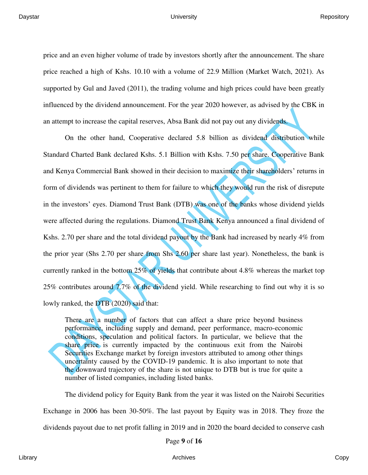price and an even higher volume of trade by investors shortly after the announcement. The share price reached a high of Kshs. 10.10 with a volume of 22.9 Million (Market Watch, 2021). As supported by Gul and Javed (2011), the trading volume and high prices could have been greatly influenced by the dividend announcement. For the year 2020 however, as advised by the CBK in an attempt to increase the capital reserves, Absa Bank did not pay out any dividends.

On the other hand, Cooperative declared 5.8 billion as dividend distribution while Standard Charted Bank declared Kshs. 5.1 Billion with Kshs. 7.50 per share. Cooperative Bank and Kenya Commercial Bank showed in their decision to maximize their shareholders' returns in form of dividends was pertinent to them for failure to which they would run the risk of disrepute in the investors' eyes. Diamond Trust Bank (DTB) was one of the banks whose dividend yields were affected during the regulations. Diamond Trust Bank Kenya announced a final dividend of Kshs. 2.70 per share and the total dividend payout by the Bank had increased by nearly 4% from the prior year (Shs 2.70 per share from Shs 2.60 per share last year). Nonetheless, the bank is currently ranked in the bottom  $25\%$  of yields that contribute about 4.8% whereas the market top 25% contributes around 7.7% of the dividend yield. While researching to find out why it is so lowly ranked, the DTB (2020) said that:

There are a number of factors that can affect a share price beyond business performance, including supply and demand, peer performance, macro-economic conditions, speculation and political factors. In particular, we believe that the share price is currently impacted by the continuous exit from the Nairobi Securities Exchange market by foreign investors attributed to among other things uncertainty caused by the COVID-19 pandemic. It is also important to note that the downward trajectory of the share is not unique to DTB but is true for quite a number of listed companies, including listed banks.

The dividend policy for Equity Bank from the year it was listed on the Nairobi Securities Exchange in 2006 has been 30-50%. The last payout by Equity was in 2018. They froze the dividends payout due to net profit falling in 2019 and in 2020 the board decided to conserve cash

Page **9** of **16**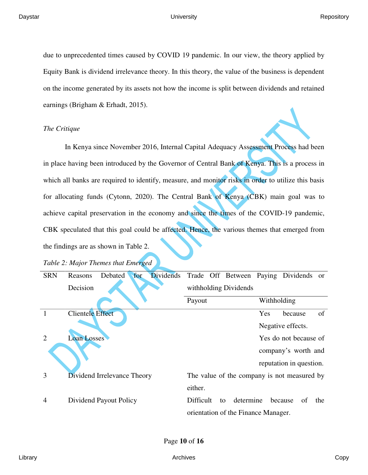#### Daystar University Repository

due to unprecedented times caused by COVID 19 pandemic. In our view, the theory applied by Equity Bank is dividend irrelevance theory. In this theory, the value of the business is dependent on the income generated by its assets not how the income is split between dividends and retained earnings (Brigham & Erhadt, 2015).

## *The Critique*

In Kenya since November 2016, Internal Capital Adequacy Assessment Process had been in place having been introduced by the Governor of Central Bank of Kenya. This is a process in which all banks are required to identify, measure, and monitor risks in order to utilize this basis for allocating funds (Cytonn, 2020). The Central Bank of Kenya (CBK) main goal was to achieve capital preservation in the economy and since the times of the COVID-19 pandemic, CBK speculated that this goal could be affected. Hence, the various themes that emerged from the findings are as shown in Table 2.

#### *Table 2: Major Themes that Emerged*

| <b>SRN</b>                  | Reasons                 | Debated                     | for                 | Dividends |                       |  | Trade Off Between Paying Dividends or       |             |                         |     |
|-----------------------------|-------------------------|-----------------------------|---------------------|-----------|-----------------------|--|---------------------------------------------|-------------|-------------------------|-----|
|                             | Decision                |                             |                     |           | withholding Dividends |  |                                             |             |                         |     |
|                             |                         |                             |                     |           | Payout                |  |                                             | Withholding |                         |     |
|                             | <b>Clientele Effect</b> |                             |                     |           |                       |  |                                             | Yes         | because                 | of  |
|                             |                         |                             |                     |           |                       |  |                                             |             | Negative effects.       |     |
| $\mathcal{D}_{\mathcal{L}}$ | Loan Losses             |                             |                     |           |                       |  |                                             |             | Yes do not because of   |     |
|                             |                         |                             | company's worth and |           |                       |  |                                             |             |                         |     |
|                             |                         |                             |                     |           |                       |  |                                             |             | reputation in question. |     |
| 3                           |                         | Dividend Irrelevance Theory |                     |           |                       |  | The value of the company is not measured by |             |                         |     |
|                             |                         |                             |                     |           | either.               |  |                                             |             |                         |     |
| 4                           |                         | Dividend Payout Policy      |                     |           | Difficult             |  | determine<br>to                             |             | because<br>of           | the |
|                             |                         |                             |                     |           |                       |  | orientation of the Finance Manager.         |             |                         |     |

Page **10** of **16**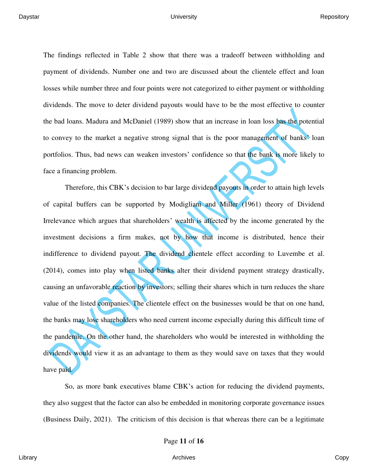The findings reflected in Table 2 show that there was a tradeoff between withholding and payment of dividends. Number one and two are discussed about the clientele effect and loan losses while number three and four points were not categorized to either payment or withholding dividends. The move to deter dividend payouts would have to be the most effective to counter the bad loans. Madura and McDaniel (1989) show that an increase in loan loss has the potential to convey to the market a negative strong signal that is the poor management of banks' loan portfolios. Thus, bad news can weaken investors' confidence so that the bank is more likely to face a financing problem.

Therefore, this CBK's decision to bar large dividend payouts in order to attain high levels of capital buffers can be supported by Modigliani and Miller (1961) theory of Dividend Irrelevance which argues that shareholders' wealth is affected by the income generated by the investment decisions a firm makes, not by how that income is distributed, hence their indifference to dividend payout. The dividend clientele effect according to Luvembe et al. (2014), comes into play when listed banks alter their dividend payment strategy drastically, causing an unfavorable reaction by investors; selling their shares which in turn reduces the share value of the listed companies. The clientele effect on the businesses would be that on one hand, the banks may lose shareholders who need current income especially during this difficult time of the pandemic. On the other hand, the shareholders who would be interested in withholding the dividends would view it as an advantage to them as they would save on taxes that they would have paid.

So, as more bank executives blame CBK's action for reducing the dividend payments, they also suggest that the factor can also be embedded in monitoring corporate governance issues (Business Daily, 2021). The criticism of this decision is that whereas there can be a legitimate

Page **11** of **16**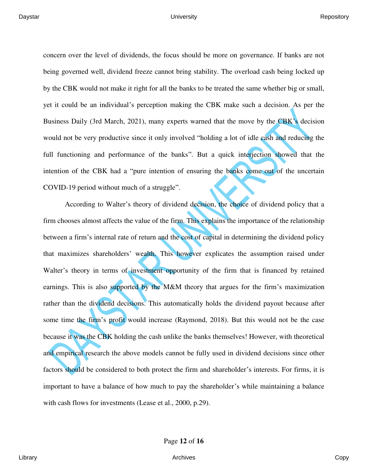concern over the level of dividends, the focus should be more on governance. If banks are not being governed well, dividend freeze cannot bring stability. The overload cash being locked up by the CBK would not make it right for all the banks to be treated the same whether big or small, yet it could be an individual's perception making the CBK make such a decision. As per the Business Daily (3rd March, 2021), many experts warned that the move by the CBK's decision would not be very productive since it only involved "holding a lot of idle cash and reducing the full functioning and performance of the banks". But a quick interjection showed that the intention of the CBK had a "pure intention of ensuring the banks come out of the uncertain COVID-19 period without much of a struggle".

According to Walter's theory of dividend decision, the choice of dividend policy that a firm chooses almost affects the value of the firm. This explains the importance of the relationship between a firm's internal rate of return and the cost of capital in determining the dividend policy that maximizes shareholders' wealth. This however explicates the assumption raised under Walter's theory in terms of investment opportunity of the firm that is financed by retained earnings. This is also supported by the M&M theory that argues for the firm's maximization rather than the dividend decisions. This automatically holds the dividend payout because after some time the firm's profit would increase (Raymond, 2018). But this would not be the case because it was the CBK holding the cash unlike the banks themselves! However, with theoretical and empirical research the above models cannot be fully used in dividend decisions since other factors should be considered to both protect the firm and shareholder's interests. For firms, it is important to have a balance of how much to pay the shareholder's while maintaining a balance with cash flows for investments (Lease et al., 2000, p.29).

Page **12** of **16**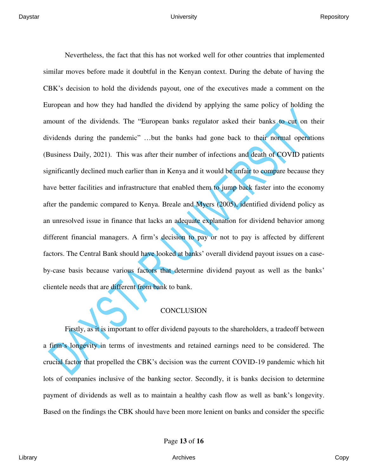Nevertheless, the fact that this has not worked well for other countries that implemented similar moves before made it doubtful in the Kenyan context. During the debate of having the CBK's decision to hold the dividends payout, one of the executives made a comment on the European and how they had handled the dividend by applying the same policy of holding the amount of the dividends. The "European banks regulator asked their banks to cut on their dividends during the pandemic" …but the banks had gone back to their normal operations (Business Daily, 2021). This was after their number of infections and death of COVID patients significantly declined much earlier than in Kenya and it would be unfair to compare because they have better facilities and infrastructure that enabled them to jump back faster into the economy after the pandemic compared to Kenya. Breale and Myers (2005), identified dividend policy as an unresolved issue in finance that lacks an adequate explanation for dividend behavior among different financial managers. A firm's decision to pay or not to pay is affected by different factors. The Central Bank should have looked at banks' overall dividend payout issues on a caseby-case basis because various factors that determine dividend payout as well as the banks' clientele needs that are different from bank to bank.

### **CONCLUSION**

Firstly, as it is important to offer dividend payouts to the shareholders, a tradeoff between a firm's longevity in terms of investments and retained earnings need to be considered. The crucial factor that propelled the CBK's decision was the current COVID-19 pandemic which hit lots of companies inclusive of the banking sector. Secondly, it is banks decision to determine payment of dividends as well as to maintain a healthy cash flow as well as bank's longevity. Based on the findings the CBK should have been more lenient on banks and consider the specific

Page **13** of **16**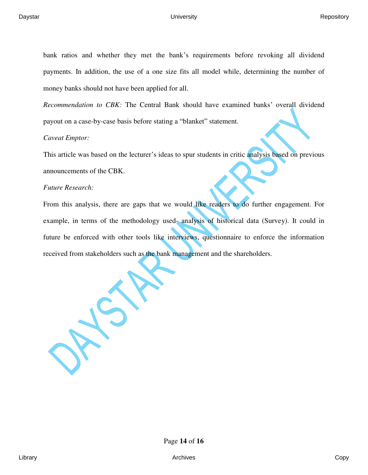bank ratios and whether they met the bank's requirements before revoking all dividend payments. In addition, the use of a one size fits all model while, determining the number of money banks should not have been applied for all.

*Recommendation to CBK:* The Central Bank should have examined banks' overall dividend payout on a case-by-case basis before stating a "blanket" statement.

# *Caveat Emptor:*

This article was based on the lecturer's ideas to spur students in critic analysis based on previous announcements of the CBK.

# *Future Research:*

From this analysis, there are gaps that we would like readers to do further engagement. For example, in terms of the methodology used- analysis of historical data (Survey). It could in future be enforced with other tools like interviews, questionnaire to enforce the information received from stakeholders such as the bank management and the shareholders.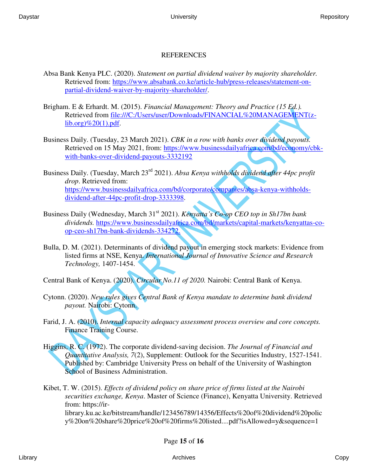# REFERENCES

- Absa Bank Kenya PLC. (2020). *Statement on partial dividend waiver by majority shareholder.* Retrieved from: [https://www.absabank.co.ke/article-hub/press-releases/statement-on](https://www.absabank.co.ke/article-hub/press-releases/statement-on-partial-dividend-waiver-by-majority-shareholder/)[partial-dividend-waiver-by-majority-shareholder/.](https://www.absabank.co.ke/article-hub/press-releases/statement-on-partial-dividend-waiver-by-majority-shareholder/)
- Brigham. E & Erhardt. M. (2015). *Financial Management: Theory and Practice (15 Ed.).* Retrieved from file:///C:/Users/user/Downloads/FINANCIAL%20MANAGEMENT(z $lib.org$ )% $20(1)$ .pdf.
- Business Daily. (Tuesday, 23 March 2021). *CBK in a row with banks over dividend payouts.*  Retrieved on 15 May 2021, from: [https://www.businessdailyafrica.com/bd/economy/cbk](https://www.businessdailyafrica.com/bd/economy/cbk-with-banks-over-dividend-payouts-3332192)[with-banks-over-dividend-payouts-3332192](https://www.businessdailyafrica.com/bd/economy/cbk-with-banks-over-dividend-payouts-3332192)
- Business Daily. (Tuesday, March 23rd 2021). *Absa Kenya withholds dividend after 44pc profit drop*. Retrieved from: [https://www.businessdailyafrica.com/bd/corporate/companies/absa-kenya-withholds](https://www.businessdailyafrica.com/bd/corporate/companies/absa-kenya-withholds-dividend-after-44pc-profit-drop-3333398)[dividend-after-44pc-profit-drop-3333398.](https://www.businessdailyafrica.com/bd/corporate/companies/absa-kenya-withholds-dividend-after-44pc-profit-drop-3333398)
- Business Daily (Wednesday, March 31<sup>st</sup> 2021). *Kenyatta's Co-op CEO top in Sh17bn bank dividends.* [https://www.businessdailyafrica.com/bd/markets/capital-markets/kenyattas-co](https://www.businessdailyafrica.com/bd/markets/capital-markets/kenyattas-co-op-ceo-sh17bn-bank-dividends-334272)[op-ceo-sh17bn-bank-dividends-334272.](https://www.businessdailyafrica.com/bd/markets/capital-markets/kenyattas-co-op-ceo-sh17bn-bank-dividends-334272)
- Bulla, D. M. (2021). Determinants of dividend payout in emerging stock markets: Evidence from listed firms at NSE, Kenya. *International Journal of Innovative Science and Research Technology,* 1407-1454.
- Central Bank of Kenya. (2020). *Circular No.11 of 2020.* Nairobi: Central Bank of Kenya.
- Cytonn. (2020). *New rules gives Central Bank of Kenya mandate to determine bank dividend payout.* Nairobi: Cytonn.
- Farid, J. A. (2010). *Internal capacity adequacy assessment process overview and core concepts.*  Finance Training Course.
- Higgins, R. C. (1972). The corporate dividend-saving decision. *The Journal of Financial and Quantitative Analysis, 7*(2), Supplement: Outlook for the Securities Industry, 1527-1541. Published by: Cambridge University Press on behalf of the University of Washington School of Business Administration.
- Kibet, T. W. (2015). *Effects of dividend policy on share price of firms listed at the Nairobi securities exchange, Kenya*. Master of Science (Finance), Kenyatta University. Retrieved from: https://irlibrary.ku.ac.ke/bitstream/handle/123456789/14356/Effects%20of%20dividend%20polic y%20on%20share%20price%20of%20firms%20listed....pdf?isAllowed=y&sequence=1